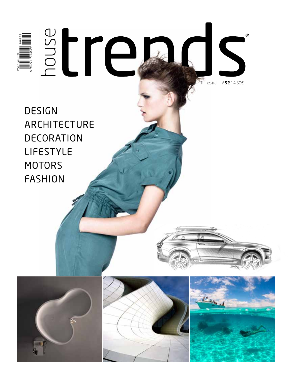Trimestral ˙ n.º**52** ˙ 4,50€

 $^{\circ}$ 

design architecture **DECORATION** lifestyle **MOTORS** fashion

House